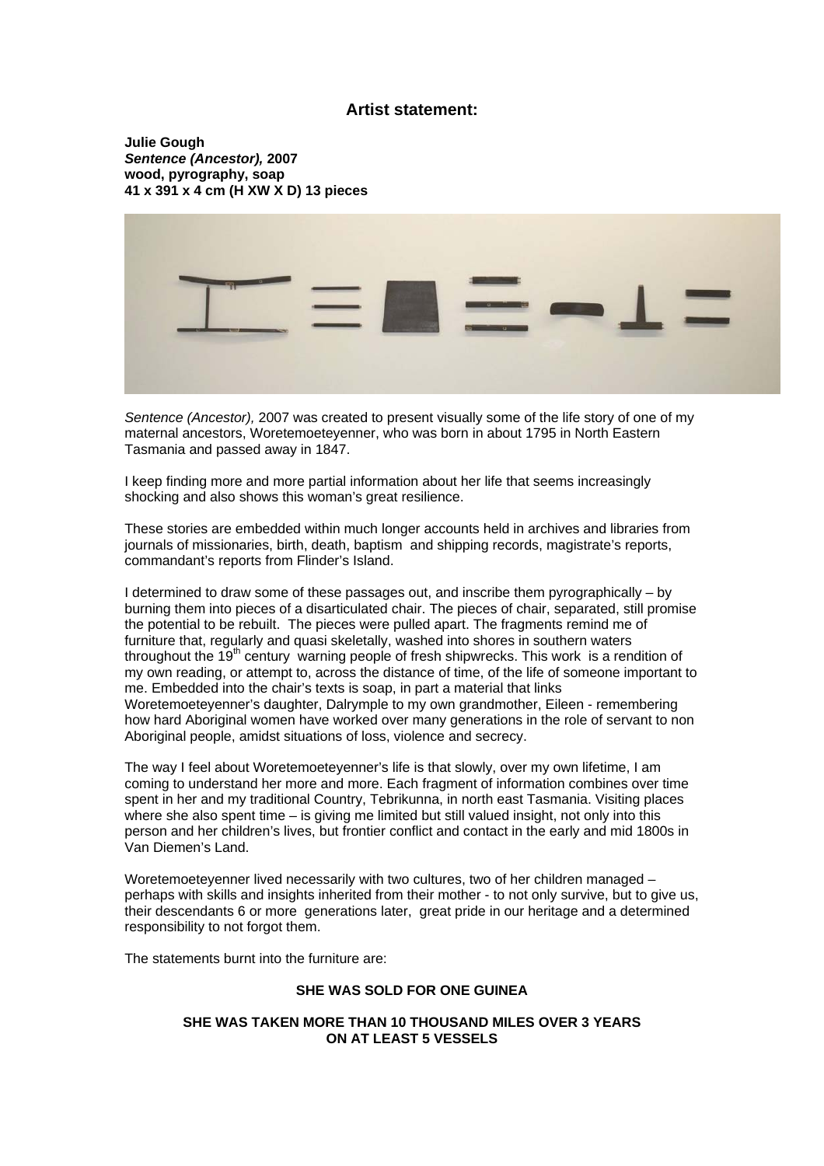## **Artist statement:**

**Julie Gough**  *Sentence (Ancestor),* **2007 wood, pyrography, soap 41 x 391 x 4 cm (H XW X D) 13 pieces** 



*Sentence (Ancestor),* 2007 was created to present visually some of the life story of one of my maternal ancestors, Woretemoeteyenner, who was born in about 1795 in North Eastern Tasmania and passed away in 1847.

I keep finding more and more partial information about her life that seems increasingly shocking and also shows this woman's great resilience.

These stories are embedded within much longer accounts held in archives and libraries from journals of missionaries, birth, death, baptism and shipping records, magistrate's reports, commandant's reports from Flinder's Island.

I determined to draw some of these passages out, and inscribe them pyrographically – by burning them into pieces of a disarticulated chair. The pieces of chair, separated, still promise the potential to be rebuilt. The pieces were pulled apart. The fragments remind me of furniture that, regularly and quasi skeletally, washed into shores in southern waters throughout the  $19<sup>th</sup>$  century warning people of fresh shipwrecks. This work is a rendition of my own reading, or attempt to, across the distance of time, of the life of someone important to me. Embedded into the chair's texts is soap, in part a material that links Woretemoeteyenner's daughter, Dalrymple to my own grandmother, Eileen - remembering how hard Aboriginal women have worked over many generations in the role of servant to non Aboriginal people, amidst situations of loss, violence and secrecy.

The way I feel about Woretemoeteyenner's life is that slowly, over my own lifetime, I am coming to understand her more and more. Each fragment of information combines over time spent in her and my traditional Country, Tebrikunna, in north east Tasmania. Visiting places where she also spent time – is giving me limited but still valued insight, not only into this person and her children's lives, but frontier conflict and contact in the early and mid 1800s in Van Diemen's Land.

Woretemoeteyenner lived necessarily with two cultures, two of her children managed – perhaps with skills and insights inherited from their mother - to not only survive, but to give us, their descendants 6 or more generations later, great pride in our heritage and a determined responsibility to not forgot them.

The statements burnt into the furniture are:

# **SHE WAS SOLD FOR ONE GUINEA**

## **SHE WAS TAKEN MORE THAN 10 THOUSAND MILES OVER 3 YEARS ON AT LEAST 5 VESSELS**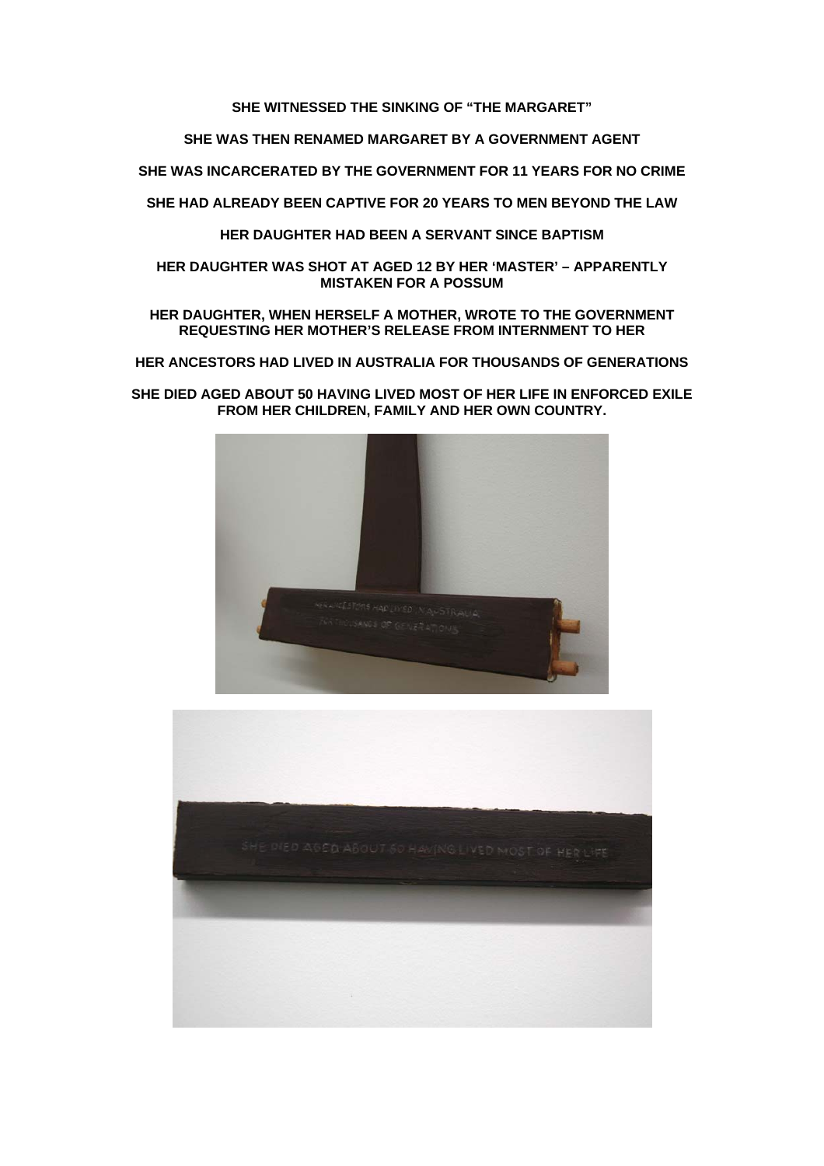### **SHE WITNESSED THE SINKING OF "THE MARGARET"**

#### **SHE WAS THEN RENAMED MARGARET BY A GOVERNMENT AGENT**

**SHE WAS INCARCERATED BY THE GOVERNMENT FOR 11 YEARS FOR NO CRIME** 

**SHE HAD ALREADY BEEN CAPTIVE FOR 20 YEARS TO MEN BEYOND THE LAW** 

## **HER DAUGHTER HAD BEEN A SERVANT SINCE BAPTISM**

#### **HER DAUGHTER WAS SHOT AT AGED 12 BY HER 'MASTER' – APPARENTLY MISTAKEN FOR A POSSUM**

### **HER DAUGHTER, WHEN HERSELF A MOTHER, WROTE TO THE GOVERNMENT REQUESTING HER MOTHER'S RELEASE FROM INTERNMENT TO HER**

**HER ANCESTORS HAD LIVED IN AUSTRALIA FOR THOUSANDS OF GENERATIONS** 

**SHE DIED AGED ABOUT 50 HAVING LIVED MOST OF HER LIFE IN ENFORCED EXILE FROM HER CHILDREN, FAMILY AND HER OWN COUNTRY.** 



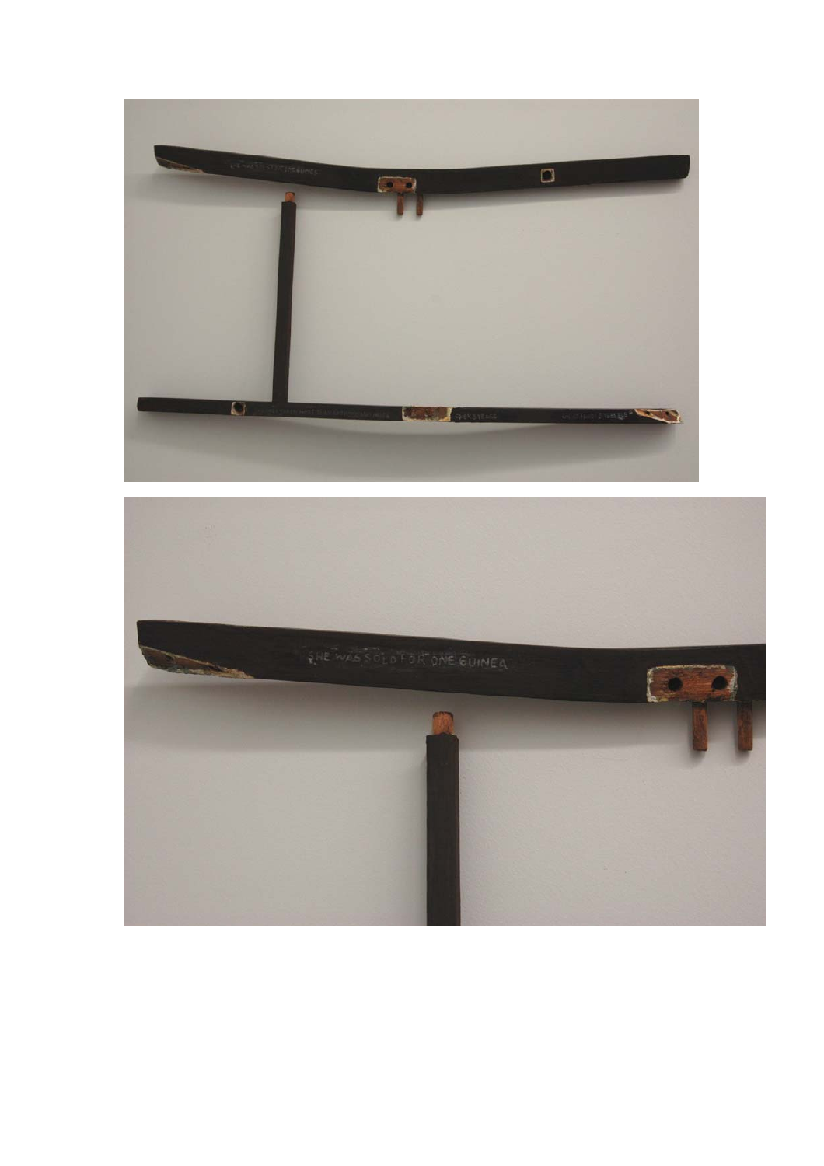

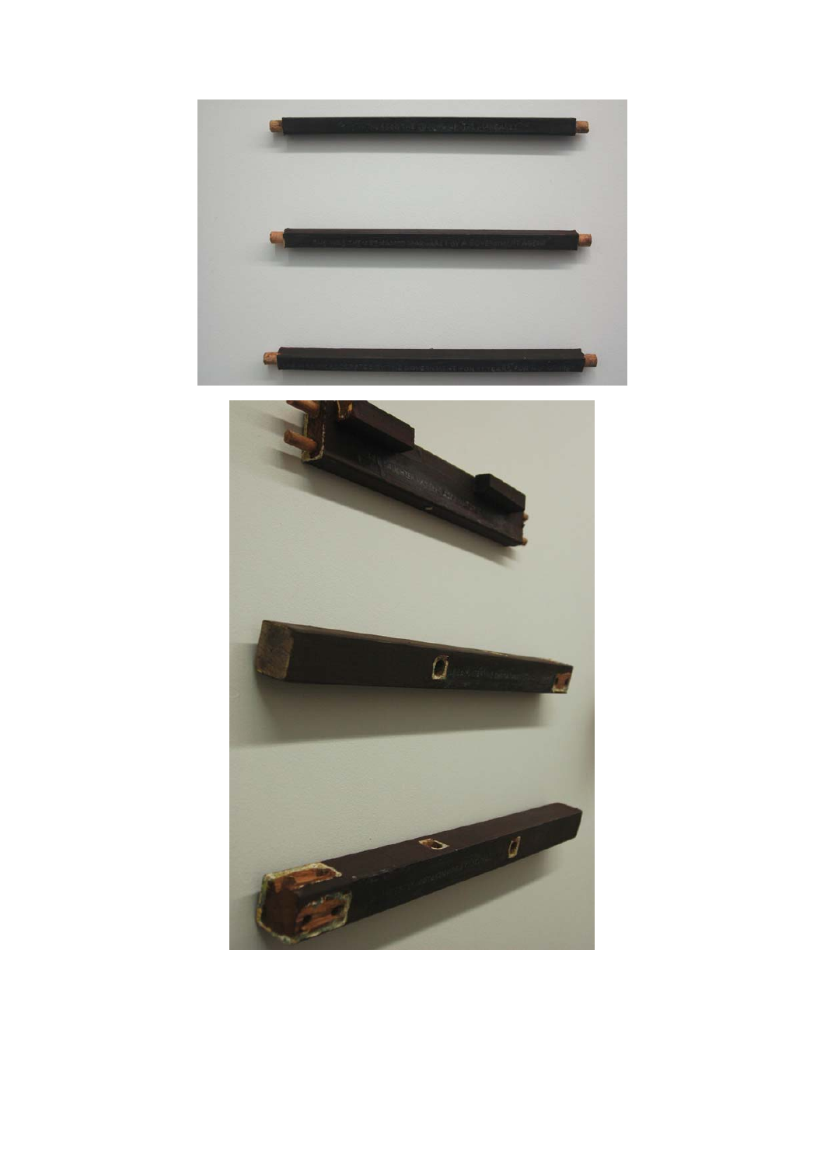